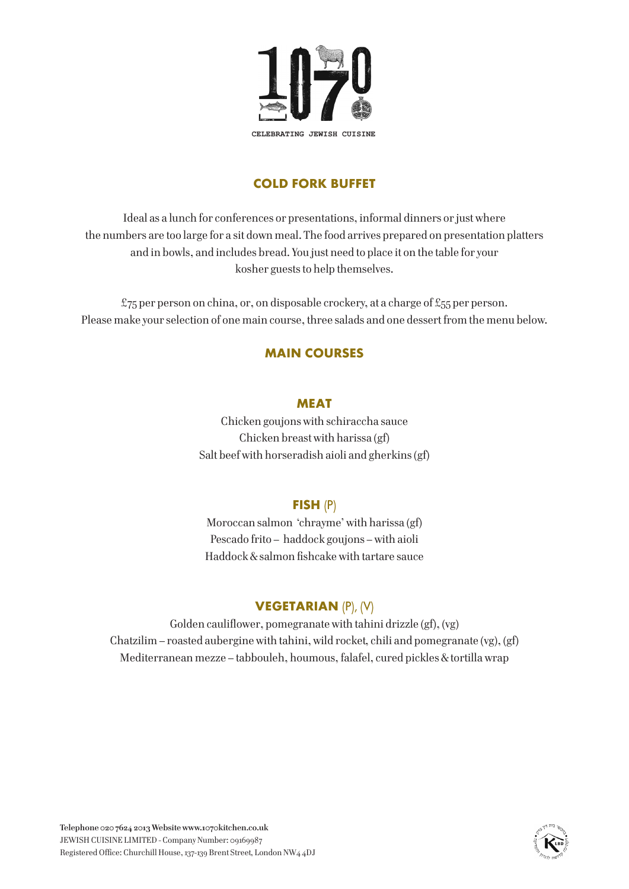

# **COLD FORK BUFFET**

Ideal as a lunch for conferences or presentations, informal dinners or just where the numbers are too large for a sit down meal. The food arrives prepared on presentation platters and in bowls, and includes bread. You just need to place it on the table for your kosher guests to help themselves.

£75 per person on china, or, on disposable crockery, at a charge of £55 per person. Please make your selection of one main course, three salads and one dessert from the menu below.

## **MAIN COURSES**

#### **MEAT**

Chicken goujons with schiraccha sauce Chicken breast with harissa (gf) Salt beef with horseradish aioli and gherkins (gf)

#### **FISH** (P)

Moroccan salmon 'chrayme' with harissa (gf) Pescado frito – haddock goujons – with aioli Haddock & salmon fishcake with tartare sauce

# **VEGETARIAN** (P), (V)

Golden cauliflower, pomegranate with tahini drizzle (gf), (vg) Chatzilim – roasted aubergine with tahini, wild rocket, chili and pomegranate (vg), (gf) Mediterranean mezze – tabbouleh, houmous, falafel, cured pickles & tortilla wrap